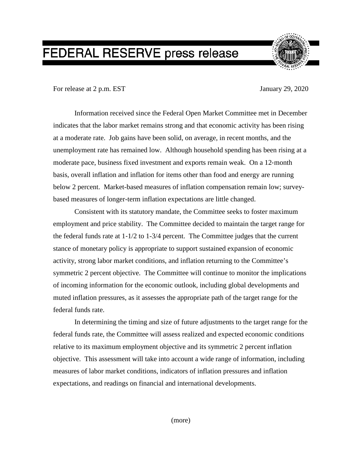## FEDERAL RESERVE press release



For release at 2 p.m. EST January 29, 2020

Information received since the Federal Open Market Committee met in December indicates that the labor market remains strong and that economic activity has been rising at a moderate rate. Job gains have been solid, on average, in recent months, and the unemployment rate has remained low. Although household spending has been rising at a moderate pace, business fixed investment and exports remain weak. On a 12‑month basis, overall inflation and inflation for items other than food and energy are running below 2 percent. Market-based measures of inflation compensation remain low; surveybased measures of longer-term inflation expectations are little changed.

Consistent with its statutory mandate, the Committee seeks to foster maximum employment and price stability. The Committee decided to maintain the target range for the federal funds rate at  $1-1/2$  to  $1-3/4$  percent. The Committee judges that the current stance of monetary policy is appropriate to support sustained expansion of economic activity, strong labor market conditions, and inflation returning to the Committee's symmetric 2 percent objective. The Committee will continue to monitor the implications of incoming information for the economic outlook, including global developments and muted inflation pressures, as it assesses the appropriate path of the target range for the federal funds rate.

In determining the timing and size of future adjustments to the target range for the federal funds rate, the Committee will assess realized and expected economic conditions relative to its maximum employment objective and its symmetric 2 percent inflation objective. This assessment will take into account a wide range of information, including measures of labor market conditions, indicators of inflation pressures and inflation expectations, and readings on financial and international developments.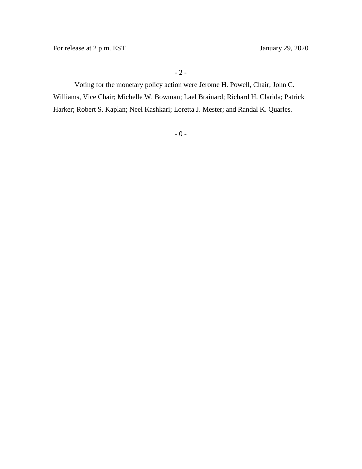Voting for the monetary policy action were Jerome H. Powell, Chair; John C. Williams, Vice Chair; Michelle W. Bowman; Lael Brainard; Richard H. Clarida; Patrick Harker; Robert S. Kaplan; Neel Kashkari; Loretta J. Mester; and Randal K. Quarles.

- 0 -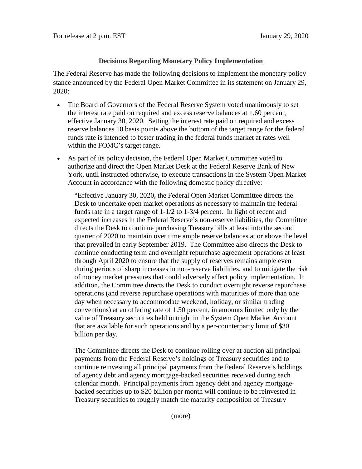## **Decisions Regarding Monetary Policy Implementation**

The Federal Reserve has made the following decisions to implement the monetary policy stance announced by the Federal Open Market Committee in its statement on January 29, 2020:

- The Board of Governors of the Federal Reserve System voted unanimously to set the interest rate paid on required and excess reserve balances at 1.60 percent, effective January 30, 2020. Setting the interest rate paid on required and excess reserve balances 10 basis points above the bottom of the target range for the federal funds rate is intended to foster trading in the federal funds market at rates well within the FOMC's target range.
- As part of its policy decision, the Federal Open Market Committee voted to authorize and direct the Open Market Desk at the Federal Reserve Bank of New York, until instructed otherwise, to execute transactions in the System Open Market Account in accordance with the following domestic policy directive:

"Effective January 30, 2020, the Federal Open Market Committee directs the Desk to undertake open market operations as necessary to maintain the federal funds rate in a target range of 1-1/2 to 1-3/4 percent. In light of recent and expected increases in the Federal Reserve's non-reserve liabilities, the Committee directs the Desk to continue purchasing Treasury bills at least into the second quarter of 2020 to maintain over time ample reserve balances at or above the level that prevailed in early September 2019. The Committee also directs the Desk to continue conducting term and overnight repurchase agreement operations at least through April 2020 to ensure that the supply of reserves remains ample even during periods of sharp increases in non-reserve liabilities, and to mitigate the risk of money market pressures that could adversely affect policy implementation. In addition, the Committee directs the Desk to conduct overnight reverse repurchase operations (and reverse repurchase operations with maturities of more than one day when necessary to accommodate weekend, holiday, or similar trading conventions) at an offering rate of 1.50 percent, in amounts limited only by the value of Treasury securities held outright in the System Open Market Account that are available for such operations and by a per-counterparty limit of \$30 billion per day.

The Committee directs the Desk to continue rolling over at auction all principal payments from the Federal Reserve's holdings of Treasury securities and to continue reinvesting all principal payments from the Federal Reserve's holdings of agency debt and agency mortgage-backed securities received during each calendar month. Principal payments from agency debt and agency mortgagebacked securities up to \$20 billion per month will continue to be reinvested in Treasury securities to roughly match the maturity composition of Treasury